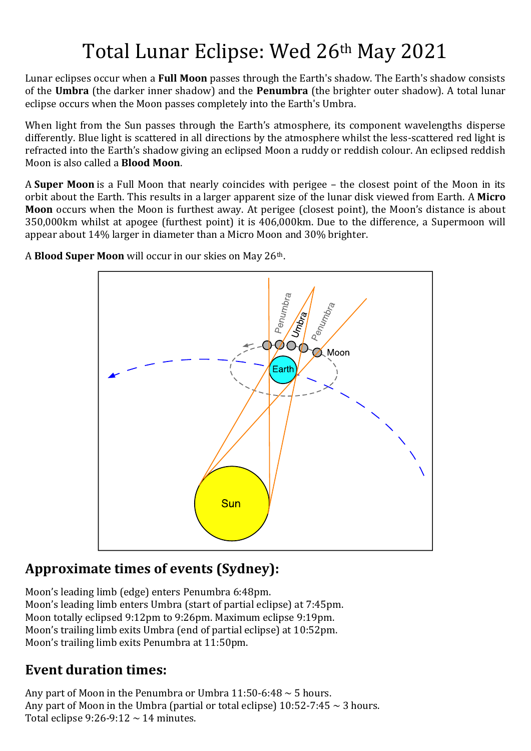## Total Lunar Eclipse: Wed 26th May 2021

Lunar eclipses occur when a **Full Moon** passes through the Earth's shadow. The Earth's shadow consists of the **Umbra** (the darker inner shadow) and the **Penumbra** (the brighter outer shadow). A total lunar eclipse occurs when the Moon passes completely into the Earth's Umbra.

When light from the Sun passes through the Earth's atmosphere, its component wavelengths disperse differently. Blue light is scattered in all directions by the atmosphere whilst the less-scattered red light is refracted into the Earth's shadow giving an eclipsed Moon a ruddy or reddish colour. An eclipsed reddish Moon is also called a **Blood Moon**.

A **Super Moon** is a Full Moon that nearly coincides with perigee – the closest point of the Moon in its orbit about the Earth. This results in a larger apparent size of the lunar disk viewed from Earth. A **Micro Moon** occurs when the Moon is furthest away. At perigee (closest point), the Moon's distance is about 350,000km whilst at apogee (furthest point) it is 406,000km. Due to the difference, a Supermoon will appear about 14% larger in diameter than a Micro Moon and 30% brighter.



A **Blood Super Moon** will occur in our skies on May 26th.

## **Approximate times of events (Sydney):**

Moon's leading limb (edge) enters Penumbra 6:48pm. Moon's leading limb enters Umbra (start of partial eclipse) at 7:45pm. Moon totally eclipsed 9:12pm to 9:26pm. Maximum eclipse 9:19pm. Moon's trailing limb exits Umbra (end of partial eclipse) at 10:52pm. Moon's trailing limb exits Penumbra at 11:50pm.

## **Event duration times:**

Any part of Moon in the Penumbra or Umbra  $11:50-6:48 \sim 5$  hours. Any part of Moon in the Umbra (partial or total eclipse)  $10:52-7:45 \sim 3$  hours. Total eclipse 9:26-9:12  $\sim$  14 minutes.